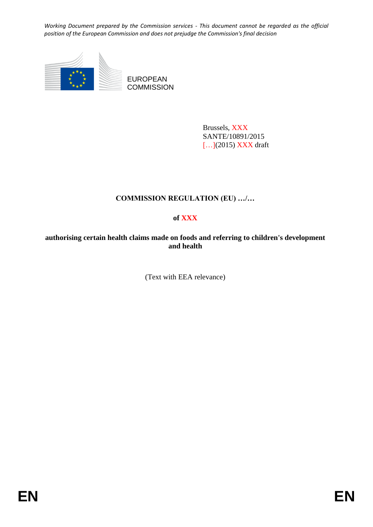

Brussels, XXX SANTE/10891/2015 [...](2015) XXX draft

# **COMMISSION REGULATION (EU) …/…**

## **of XXX**

**authorising certain health claims made on foods and referring to children's development and health** 

(Text with EEA relevance)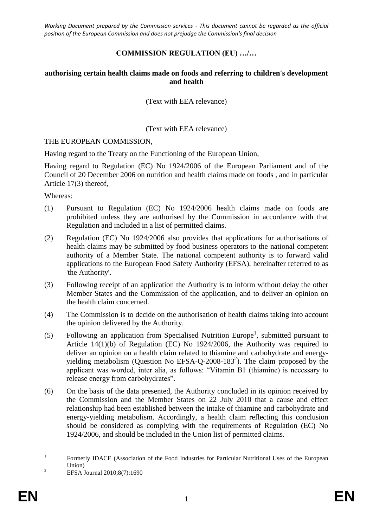### **COMMISSION REGULATION (EU) …/…**

#### **authorising certain health claims made on foods and referring to children's development and health**

(Text with EEA relevance)

#### (Text with EEA relevance)

#### THE EUROPEAN COMMISSION,

Having regard to the Treaty on the Functioning of the European Union,

Having regard to Regulation (EC) No 1924/2006 of the European Parliament and of the Council of 20 December 2006 on nutrition and health claims made on foods , and in particular Article 17(3) thereof,

Whereas:

- (1) Pursuant to Regulation (EC) No 1924/2006 health claims made on foods are prohibited unless they are authorised by the Commission in accordance with that Regulation and included in a list of permitted claims.
- (2) Regulation (EC) No 1924/2006 also provides that applications for authorisations of health claims may be submitted by food business operators to the national competent authority of a Member State. The national competent authority is to forward valid applications to the European Food Safety Authority (EFSA), hereinafter referred to as 'the Authority'.
- (3) Following receipt of an application the Authority is to inform without delay the other Member States and the Commission of the application, and to deliver an opinion on the health claim concerned.
- (4) The Commission is to decide on the authorisation of health claims taking into account the opinion delivered by the Authority.
- (5) Following an application from Specialised Nutrition Europe<sup>1</sup>, submitted pursuant to Article 14(1)(b) of Regulation (EC) No 1924/2006, the Authority was required to deliver an opinion on a health claim related to thiamine and carbohydrate and energyyielding metabolism (Question No EFSA-Q-2008-183<sup>2</sup>). The claim proposed by the applicant was worded, inter alia, as follows: "Vitamin B1 (thiamine) is necessary to release energy from carbohydrates".
- (6) On the basis of the data presented, the Authority concluded in its opinion received by the Commission and the Member States on 22 July 2010 that a cause and effect relationship had been established between the intake of thiamine and carbohydrate and energy-yielding metabolism. Accordingly, a health claim reflecting this conclusion should be considered as complying with the requirements of Regulation (EC) No 1924/2006, and should be included in the Union list of permitted claims.

 $\frac{1}{1}$ Formerly IDACE (Association of the Food Industries for Particular Nutritional Uses of the European Union)

<sup>&</sup>lt;sup>2</sup> EFSA Journal  $2010;8(7):1690$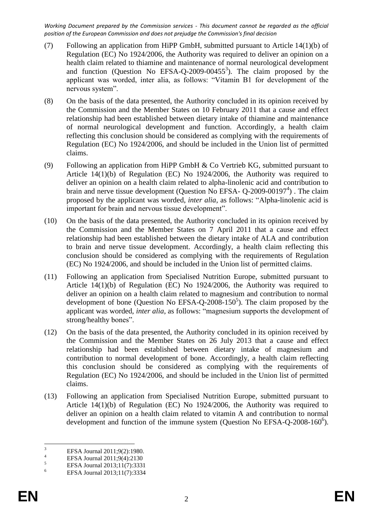- (7) Following an application from HiPP GmbH, submitted pursuant to Article 14(1)(b) of Regulation (EC) No 1924/2006, the Authority was required to deliver an opinion on a health claim related to thiamine and maintenance of normal neurological development and function (Question No EFSA-Q-2009-00455 $3$ ). The claim proposed by the applicant was worded, inter alia, as follows: "Vitamin B1 for development of the nervous system".
- (8) On the basis of the data presented, the Authority concluded in its opinion received by the Commission and the Member States on 10 February 2011 that a cause and effect relationship had been established between dietary intake of thiamine and maintenance of normal neurological development and function. Accordingly, a health claim reflecting this conclusion should be considered as complying with the requirements of Regulation (EC) No 1924/2006, and should be included in the Union list of permitted claims.
- (9) Following an application from HiPP GmbH & Co Vertrieb KG, submitted pursuant to Article 14(1)(b) of Regulation (EC) No 1924/2006, the Authority was required to deliver an opinion on a health claim related to alpha-linolenic acid and contribution to brain and nerve tissue development (Question No EFSA- Q-2009-00197<sup>4</sup>). The claim proposed by the applicant was worded, *inter alia*, as follows: "Alpha-linolenic acid is important for brain and nervous tissue development".
- (10) On the basis of the data presented, the Authority concluded in its opinion received by the Commission and the Member States on 7 April 2011 that a cause and effect relationship had been established between the dietary intake of ALA and contribution to brain and nerve tissue development. Accordingly, a health claim reflecting this conclusion should be considered as complying with the requirements of Regulation (EC) No 1924/2006, and should be included in the Union list of permitted claims.
- (11) Following an application from Specialised Nutrition Europe, submitted pursuant to Article 14(1)(b) of Regulation (EC) No 1924/2006, the Authority was required to deliver an opinion on a health claim related to magnesium and contribution to normal development of bone (Question No EFSA-Q-2008-150<sup>5</sup>). The claim proposed by the applicant was worded, *inter alia*, as follows: "magnesium supports the development of strong/healthy bones".
- (12) On the basis of the data presented, the Authority concluded in its opinion received by the Commission and the Member States on 26 July 2013 that a cause and effect relationship had been established between dietary intake of magnesium and contribution to normal development of bone. Accordingly, a health claim reflecting this conclusion should be considered as complying with the requirements of Regulation (EC) No 1924/2006, and should be included in the Union list of permitted claims.
- (13) Following an application from Specialised Nutrition Europe, submitted pursuant to Article 14(1)(b) of Regulation (EC) No 1924/2006, the Authority was required to deliver an opinion on a health claim related to vitamin A and contribution to normal development and function of the immune system (Question No EFSA-Q-2008-160 $^6$ ).

 $\overline{3}$  $\frac{3}{4}$  EFSA Journal 2011;9(2):1980.

<sup>&</sup>lt;sup>4</sup><br>EFSA Journal 2011;9(4):2130<br>EFSA Journal 2012;11(7):2223

 $5 \t\t\t EFSA Journal 2013;11(7):3331$ 

<sup>6</sup> EFSA Journal 2013;11(7):3334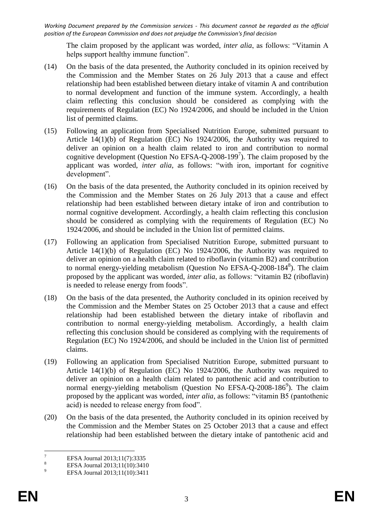The claim proposed by the applicant was worded, *inter alia*, as follows: "Vitamin A helps support healthy immune function".

- (14) On the basis of the data presented, the Authority concluded in its opinion received by the Commission and the Member States on 26 July 2013 that a cause and effect relationship had been established between dietary intake of vitamin A and contribution to normal development and function of the immune system. Accordingly, a health claim reflecting this conclusion should be considered as complying with the requirements of Regulation (EC) No 1924/2006, and should be included in the Union list of permitted claims.
- (15) Following an application from Specialised Nutrition Europe, submitted pursuant to Article 14(1)(b) of Regulation (EC) No 1924/2006, the Authority was required to deliver an opinion on a health claim related to iron and contribution to normal cognitive development (Question No EFSA-Q-2008-199<sup>7</sup>). The claim proposed by the applicant was worded, *inter alia*, as follows: "with iron, important for cognitive development".
- (16) On the basis of the data presented, the Authority concluded in its opinion received by the Commission and the Member States on 26 July 2013 that a cause and effect relationship had been established between dietary intake of iron and contribution to normal cognitive development. Accordingly, a health claim reflecting this conclusion should be considered as complying with the requirements of Regulation (EC) No 1924/2006, and should be included in the Union list of permitted claims.
- (17) Following an application from Specialised Nutrition Europe, submitted pursuant to Article 14(1)(b) of Regulation (EC) No 1924/2006, the Authority was required to deliver an opinion on a health claim related to riboflavin (vitamin B2) and contribution to normal energy-yielding metabolism (Question No EFSA-Q-2008-184<sup>8</sup>). The claim proposed by the applicant was worded, *inter alia*, as follows: "vitamin B2 (riboflavin) is needed to release energy from foods".
- (18) On the basis of the data presented, the Authority concluded in its opinion received by the Commission and the Member States on 25 October 2013 that a cause and effect relationship had been established between the dietary intake of riboflavin and contribution to normal energy-yielding metabolism. Accordingly, a health claim reflecting this conclusion should be considered as complying with the requirements of Regulation (EC) No 1924/2006, and should be included in the Union list of permitted claims.
- (19) Following an application from Specialised Nutrition Europe, submitted pursuant to Article 14(1)(b) of Regulation (EC) No 1924/2006, the Authority was required to deliver an opinion on a health claim related to pantothenic acid and contribution to normal energy-yielding metabolism (Question No EFSA-Q-2008-186<sup>9</sup>). The claim proposed by the applicant was worded, *inter alia*, as follows: "vitamin B5 (pantothenic acid) is needed to release energy from food".
- (20) On the basis of the data presented, the Authority concluded in its opinion received by the Commission and the Member States on 25 October 2013 that a cause and effect relationship had been established between the dietary intake of pantothenic acid and

 $\overline{7}$ <sup>7</sup> EFSA Journal 2013;11(7):3335

<sup>&</sup>lt;sup>8</sup><br>EFSA Journal 2013;11(10):3410<br>PFSA J<sub>2</sub> metal 2012;11(10):2411

EFSA Journal 2013;11(10):3411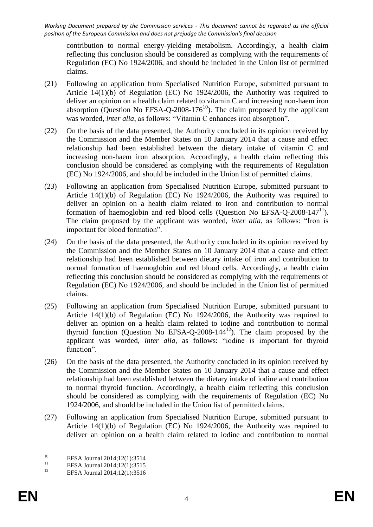contribution to normal energy-yielding metabolism. Accordingly, a health claim reflecting this conclusion should be considered as complying with the requirements of Regulation (EC) No 1924/2006, and should be included in the Union list of permitted claims.

- (21) Following an application from Specialised Nutrition Europe, submitted pursuant to Article 14(1)(b) of Regulation (EC) No 1924/2006, the Authority was required to deliver an opinion on a health claim related to vitamin C and increasing non-haem iron absorption (Question No EFSA-Q-2008-176<sup>10</sup>). The claim proposed by the applicant was worded, *inter alia*, as follows: "Vitamin C enhances iron absorption".
- (22) On the basis of the data presented, the Authority concluded in its opinion received by the Commission and the Member States on 10 January 2014 that a cause and effect relationship had been established between the dietary intake of vitamin C and increasing non-haem iron absorption. Accordingly, a health claim reflecting this conclusion should be considered as complying with the requirements of Regulation (EC) No 1924/2006, and should be included in the Union list of permitted claims.
- (23) Following an application from Specialised Nutrition Europe, submitted pursuant to Article 14(1)(b) of Regulation (EC) No 1924/2006, the Authority was required to deliver an opinion on a health claim related to iron and contribution to normal formation of haemoglobin and red blood cells (Question No EFSA-Q-2008-147<sup>11</sup>). The claim proposed by the applicant was worded, *inter alia*, as follows: "Iron is important for blood formation".
- (24) On the basis of the data presented, the Authority concluded in its opinion received by the Commission and the Member States on 10 January 2014 that a cause and effect relationship had been established between dietary intake of iron and contribution to normal formation of haemoglobin and red blood cells. Accordingly, a health claim reflecting this conclusion should be considered as complying with the requirements of Regulation (EC) No 1924/2006, and should be included in the Union list of permitted claims.
- (25) Following an application from Specialised Nutrition Europe, submitted pursuant to Article 14(1)(b) of Regulation (EC) No 1924/2006, the Authority was required to deliver an opinion on a health claim related to iodine and contribution to normal thyroid function (Question No EFSA-Q-2008-144 $^{12}$ ). The claim proposed by the applicant was worded, *inter alia*, as follows: "iodine is important for thyroid function".
- (26) On the basis of the data presented, the Authority concluded in its opinion received by the Commission and the Member States on 10 January 2014 that a cause and effect relationship had been established between the dietary intake of iodine and contribution to normal thyroid function. Accordingly, a health claim reflecting this conclusion should be considered as complying with the requirements of Regulation (EC) No 1924/2006, and should be included in the Union list of permitted claims.
- (27) Following an application from Specialised Nutrition Europe, submitted pursuant to Article 14(1)(b) of Regulation (EC) No 1924/2006, the Authority was required to deliver an opinion on a health claim related to iodine and contribution to normal

 $10\,$ <sup>10</sup> EFSA Journal 2014;12(1):3514

<sup>&</sup>lt;sup>11</sup> EFSA Journal 2014;12(1):3515<br><sup>12</sup> EESA Journal 2014;12(1):2516

EFSA Journal 2014;12(1):3516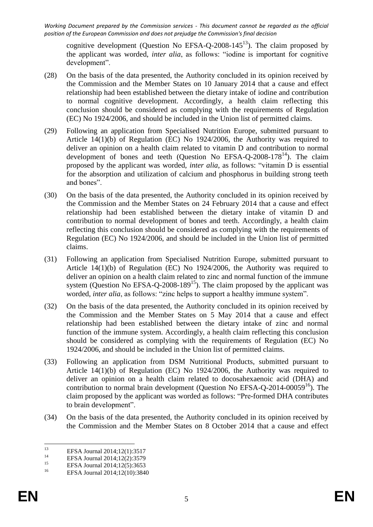cognitive development (Question No EFSA-Q-2008-145<sup>13</sup>). The claim proposed by the applicant was worded, *inter alia*, as follows: "iodine is important for cognitive development".

- (28) On the basis of the data presented, the Authority concluded in its opinion received by the Commission and the Member States on 10 January 2014 that a cause and effect relationship had been established between the dietary intake of iodine and contribution to normal cognitive development. Accordingly, a health claim reflecting this conclusion should be considered as complying with the requirements of Regulation (EC) No 1924/2006, and should be included in the Union list of permitted claims.
- (29) Following an application from Specialised Nutrition Europe, submitted pursuant to Article 14(1)(b) of Regulation (EC) No 1924/2006, the Authority was required to deliver an opinion on a health claim related to vitamin D and contribution to normal development of bones and teeth (Question No EFSA-Q-2008-178<sup>14</sup>). The claim proposed by the applicant was worded, *inter alia*, as follows: "vitamin D is essential for the absorption and utilization of calcium and phosphorus in building strong teeth and bones".
- (30) On the basis of the data presented, the Authority concluded in its opinion received by the Commission and the Member States on 24 February 2014 that a cause and effect relationship had been established between the dietary intake of vitamin D and contribution to normal development of bones and teeth. Accordingly, a health claim reflecting this conclusion should be considered as complying with the requirements of Regulation (EC) No 1924/2006, and should be included in the Union list of permitted claims.
- (31) Following an application from Specialised Nutrition Europe, submitted pursuant to Article 14(1)(b) of Regulation (EC) No 1924/2006, the Authority was required to deliver an opinion on a health claim related to zinc and normal function of the immune system (Question No EFSA-Q-2008-189<sup>15</sup>). The claim proposed by the applicant was worded, *inter alia*, as follows: "zinc helps to support a healthy immune system".
- (32) On the basis of the data presented, the Authority concluded in its opinion received by the Commission and the Member States on 5 May 2014 that a cause and effect relationship had been established between the dietary intake of zinc and normal function of the immune system. Accordingly, a health claim reflecting this conclusion should be considered as complying with the requirements of Regulation (EC) No 1924/2006, and should be included in the Union list of permitted claims.
- (33) Following an application from DSM Nutritional Products, submitted pursuant to Article 14(1)(b) of Regulation (EC) No 1924/2006, the Authority was required to deliver an opinion on a health claim related to docosahexaenoic acid (DHA) and contribution to normal brain development (Question No EFSA-Q-2014-00059 $^{16}$ ). The claim proposed by the applicant was worded as follows: "Pre-formed DHA contributes to brain development".
- (34) On the basis of the data presented, the Authority concluded in its opinion received by the Commission and the Member States on 8 October 2014 that a cause and effect

 $13\,$ <sup>13</sup> EFSA Journal 2014;12(1):3517<br><sup>14</sup> EFSA Journal 2014;12(2):2570

<sup>&</sup>lt;sup>14</sup> EFSA Journal 2014;12(2):3579<br><sup>15</sup>

<sup>&</sup>lt;sup>15</sup> EFSA Journal 2014;12(5):3653

EFSA Journal 2014;12(10):3840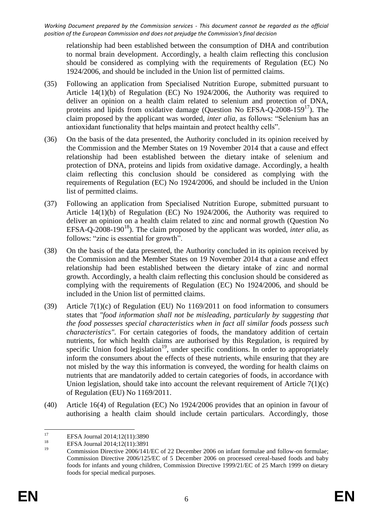relationship had been established between the consumption of DHA and contribution to normal brain development. Accordingly, a health claim reflecting this conclusion should be considered as complying with the requirements of Regulation (EC) No 1924/2006, and should be included in the Union list of permitted claims.

- (35) Following an application from Specialised Nutrition Europe, submitted pursuant to Article 14(1)(b) of Regulation (EC) No 1924/2006, the Authority was required to deliver an opinion on a health claim related to selenium and protection of DNA, proteins and lipids from oxidative damage (Question No EFSA-Q-2008-159 $^{17}$ ). The claim proposed by the applicant was worded, *inter alia*, as follows: "Selenium has an antioxidant functionality that helps maintain and protect healthy cells".
- (36) On the basis of the data presented, the Authority concluded in its opinion received by the Commission and the Member States on 19 November 2014 that a cause and effect relationship had been established between the dietary intake of selenium and protection of DNA, proteins and lipids from oxidative damage. Accordingly, a health claim reflecting this conclusion should be considered as complying with the requirements of Regulation (EC) No 1924/2006, and should be included in the Union list of permitted claims.
- (37) Following an application from Specialised Nutrition Europe, submitted pursuant to Article 14(1)(b) of Regulation (EC) No 1924/2006, the Authority was required to deliver an opinion on a health claim related to zinc and normal growth (Question No EFSA-Q-2008-190<sup>18</sup>). The claim proposed by the applicant was worded, *inter alia*, as follows: "zinc is essential for growth".
- (38) On the basis of the data presented, the Authority concluded in its opinion received by the Commission and the Member States on 19 November 2014 that a cause and effect relationship had been established between the dietary intake of zinc and normal growth. Accordingly, a health claim reflecting this conclusion should be considered as complying with the requirements of Regulation (EC) No 1924/2006, and should be included in the Union list of permitted claims.
- (39) Article 7(1)(c) of Regulation (EU) No 1169/2011 on food information to consumers states that *"food information shall not be misleading, particularly by suggesting that the food possesses special characteristics when in fact all similar foods possess such characteristics".* For certain categories of foods, the mandatory addition of certain nutrients, for which health claims are authorised by this Regulation, is required by specific Union food legislation<sup>19</sup>, under specific conditions. In order to appropriately inform the consumers about the effects of these nutrients, while ensuring that they are not misled by the way this information is conveyed, the wording for health claims on nutrients that are mandatorily added to certain categories of foods, in accordance with Union legislation, should take into account the relevant requirement of Article  $7(1)(c)$ of Regulation (EU) No 1169/2011.
- (40) Article 16(4) of Regulation (EC) No 1924/2006 provides that an opinion in favour of authorising a health claim should include certain particulars. Accordingly, those

<sup>17</sup> <sup>17</sup> EFSA Journal 2014;12(11):3890<br><sup>18</sup>

<sup>&</sup>lt;sup>18</sup> EFSA Journal 2014;12(11):3891

<sup>19</sup> Commission Directive 2006/141/EC of 22 December 2006 on infant formulae and follow-on formulae; Commission Directive 2006/125/EC of 5 December 2006 on processed cereal-based foods and baby foods for infants and young children, Commission Directive 1999/21/EC of 25 March 1999 on dietary foods for special medical purposes.